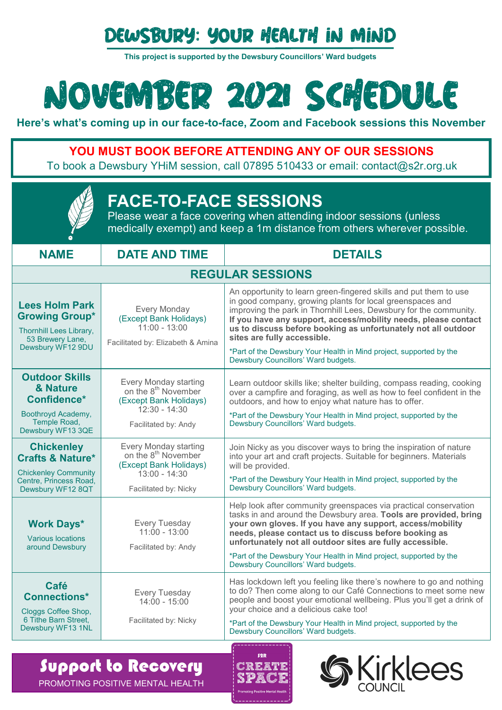## Dewsbury: Your Health in Mind

**This project is supported by the Dewsbury Councillors' Ward budgets**

# NOVEMBER 2021 SCHEDULE

**Here's what's coming up in our face-to-face, Zoom and Facebook sessions this November**

### **YOU MUST BOOK BEFORE ATTENDING ANY OF OUR SESSIONS**

To book a Dewsbury YHiM session, call 07895 510433 or email: contact@s2r.org.uk

| <b>FACE-TO-FACE SESSIONS</b><br>Please wear a face covering when attending indoor sessions (unless<br>medically exempt) and keep a 1m distance from others wherever possible. |                                                                                                                                |                                                                                                                                                                                                                                                                                                                                                                                                                                                                                     |  |
|-------------------------------------------------------------------------------------------------------------------------------------------------------------------------------|--------------------------------------------------------------------------------------------------------------------------------|-------------------------------------------------------------------------------------------------------------------------------------------------------------------------------------------------------------------------------------------------------------------------------------------------------------------------------------------------------------------------------------------------------------------------------------------------------------------------------------|--|
| <b>NAME</b>                                                                                                                                                                   | <b>DATE AND TIME</b>                                                                                                           | <b>DETAILS</b>                                                                                                                                                                                                                                                                                                                                                                                                                                                                      |  |
| <b>REGULAR SESSIONS</b>                                                                                                                                                       |                                                                                                                                |                                                                                                                                                                                                                                                                                                                                                                                                                                                                                     |  |
| <b>Lees Holm Park</b><br><b>Growing Group*</b><br>Thornhill Lees Library,<br>53 Brewery Lane,<br>Dewsbury WF12 9DU                                                            | <b>Every Monday</b><br>(Except Bank Holidays)<br>$11:00 - 13:00$<br>Facilitated by: Elizabeth & Amina                          | An opportunity to learn green-fingered skills and put them to use<br>in good company, growing plants for local greenspaces and<br>improving the park in Thornhill Lees, Dewsbury for the community.<br>If you have any support, access/mobility needs, please contact<br>us to discuss before booking as unfortunately not all outdoor<br>sites are fully accessible.<br>*Part of the Dewsbury Your Health in Mind project, supported by the<br>Dewsbury Councillors' Ward budgets. |  |
| <b>Outdoor Skills</b><br>& Nature<br>Confidence*<br>Boothroyd Academy,<br>Temple Road,<br>Dewsbury WF13 3QE                                                                   | Every Monday starting<br>on the 8 <sup>th</sup> November<br>(Except Bank Holidays)<br>$12:30 - 14:30$<br>Facilitated by: Andy  | Learn outdoor skills like; shelter building, compass reading, cooking<br>over a campfire and foraging, as well as how to feel confident in the<br>outdoors, and how to enjoy what nature has to offer.<br>*Part of the Dewsbury Your Health in Mind project, supported by the<br>Dewsbury Councillors' Ward budgets.                                                                                                                                                                |  |
| <b>Chickenley</b><br><b>Crafts &amp; Nature*</b><br><b>Chickenley Community</b><br>Centre, Princess Road,<br>Dewsbury WF12 8QT                                                | Every Monday starting<br>on the 8 <sup>th</sup> November<br>(Except Bank Holidays)<br>$13:00 - 14:30$<br>Facilitated by: Nicky | Join Nicky as you discover ways to bring the inspiration of nature<br>into your art and craft projects. Suitable for beginners. Materials<br>will be provided.<br>*Part of the Dewsbury Your Health in Mind project, supported by the<br>Dewsbury Councillors' Ward budgets.                                                                                                                                                                                                        |  |
| <b>Work Days*</b><br><b>Various locations</b><br>around Dewsbury                                                                                                              | <b>Every Tuesday</b><br>$11:00 - 13:00$<br>Facilitated by: Andy                                                                | Help look after community greenspaces via practical conservation<br>tasks in and around the Dewsbury area. Tools are provided, bring<br>your own gloves. If you have any support, access/mobility<br>needs, please contact us to discuss before booking as<br>unfortunately not all outdoor sites are fully accessible.<br>*Part of the Dewsbury Your Health in Mind project, supported by the<br>Dewsbury Councillors' Ward budgets.                                               |  |
| Café<br><b>Connections*</b><br>Cloggs Coffee Shop,<br>6 Tithe Barn Street,<br>Dewsbury WF13 1NL                                                                               | Every Tuesday<br>$14:00 - 15:00$<br>Facilitated by: Nicky                                                                      | Has lockdown left you feeling like there's nowhere to go and nothing<br>to do? Then come along to our Café Connections to meet some new<br>people and boost your emotional wellbeing. Plus you'll get a drink of<br>your choice and a delicious cake too!<br>*Part of the Dewsbury Your Health in Mind project, supported by the<br>Dewsbury Councillors' Ward budgets.                                                                                                             |  |

#### Support to Recovery PROMOTING POSITIVE MENTAL HEALTH



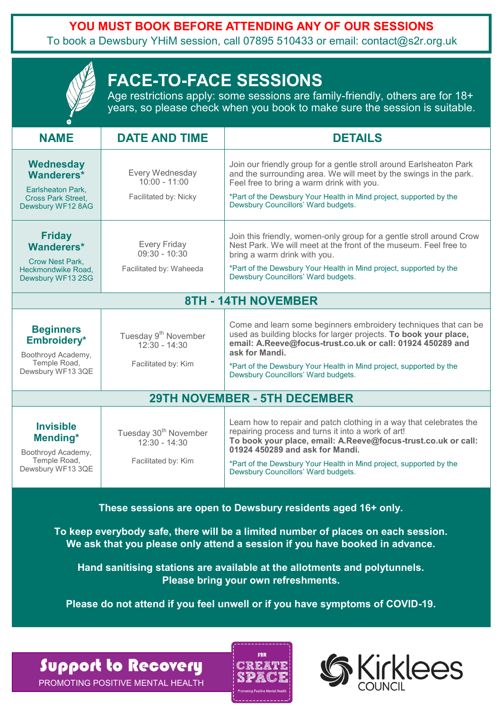**YOU MUST BOOK BEFORE ATTENDING ANY OF OUR SESSIONS**

To book a Dewsbury YHiM session, call 07895 510433 or email: contact@s2r.org.uk

| <b>FACE-TO-FACE SESSIONS</b><br>Age restrictions apply: some sessions are family-friendly, others are for 18+<br>years, so please check when you book to make sure the session is suitable. |                                                                             |                                                                                                                                                                                                                                                                                                                                             |  |
|---------------------------------------------------------------------------------------------------------------------------------------------------------------------------------------------|-----------------------------------------------------------------------------|---------------------------------------------------------------------------------------------------------------------------------------------------------------------------------------------------------------------------------------------------------------------------------------------------------------------------------------------|--|
| <b>NAME</b>                                                                                                                                                                                 | <b>DATE AND TIME</b>                                                        | <b>DETAILS</b>                                                                                                                                                                                                                                                                                                                              |  |
| <b>Wednesday</b><br>Wanderers*<br>Earlsheaton Park.<br><b>Cross Park Street,</b><br>Dewsbury WF12 8AG                                                                                       | Every Wednesday<br>$10:00 - 11:00$<br>Facilitated by: Nicky                 | Join our friendly group for a gentle stroll around Earlsheaton Park<br>and the surrounding area. We will meet by the swings in the park.<br>Feel free to bring a warm drink with you.<br>*Part of the Dewsbury Your Health in Mind project, supported by the<br>Dewsbury Councillors' Ward budgets.                                         |  |
| <b>Friday</b><br>Wanderers*<br><b>Crow Nest Park.</b><br>Heckmondwike Road.<br>Dewsbury WF13 2SG                                                                                            | <b>Every Friday</b><br>$09:30 - 10:30$<br>Facilitated by: Waheeda           | Join this friendly, women-only group for a gentle stroll around Crow<br>Nest Park. We will meet at the front of the museum. Feel free to<br>bring a warm drink with you.<br>*Part of the Dewsbury Your Health in Mind project, supported by the<br>Dewsbury Councillors' Ward budgets.                                                      |  |
| <b>8TH - 14TH NOVEMBER</b>                                                                                                                                                                  |                                                                             |                                                                                                                                                                                                                                                                                                                                             |  |
| <b>Beginners</b><br>Embroidery*<br>Boothroyd Academy,<br>Temple Road,<br>Dewsbury WF13 3QE                                                                                                  | Tuesday 9 <sup>th</sup> November<br>$12:30 - 14:30$<br>Facilitated by: Kim  | Come and learn some beginners embroidery techniques that can be<br>used as building blocks for larger projects. To book your place,<br>email: A.Reeve@focus-trust.co.uk or call: 01924 450289 and<br>ask for Mandi.<br>*Part of the Dewsbury Your Health in Mind project, supported by the<br>Dewsbury Councillors' Ward budgets.           |  |
| <b>29TH NOVEMBER - 5TH DECEMBER</b>                                                                                                                                                         |                                                                             |                                                                                                                                                                                                                                                                                                                                             |  |
| <b>Invisible</b><br>Mending*<br>Boothroyd Academy,<br>Temple Road,<br>Dewsbury WF13 3QE                                                                                                     | Tuesday 30 <sup>th</sup> November<br>$12:30 - 14:30$<br>Facilitated by: Kim | Learn how to repair and patch clothing in a way that celebrates the<br>repairing process and turns it into a work of art!<br>To book your place, email: A.Reeve@focus-trust.co.uk or call:<br>01924 450289 and ask for Mandi.<br>*Part of the Dewsbury Your Health in Mind project, supported by the<br>Dewsbury Councillors' Ward budgets. |  |

**These sessions are open to Dewsbury residents aged 16+ only.**

**To keep everybody safe, there will be a limited number of places on each session. We ask that you please only attend a session if you have booked in advance.**

**Hand sanitising stations are available at the allotments and polytunnels. Please bring your own refreshments.**

**Please do not attend if you feel unwell or if you have symptoms of COVID-19.**